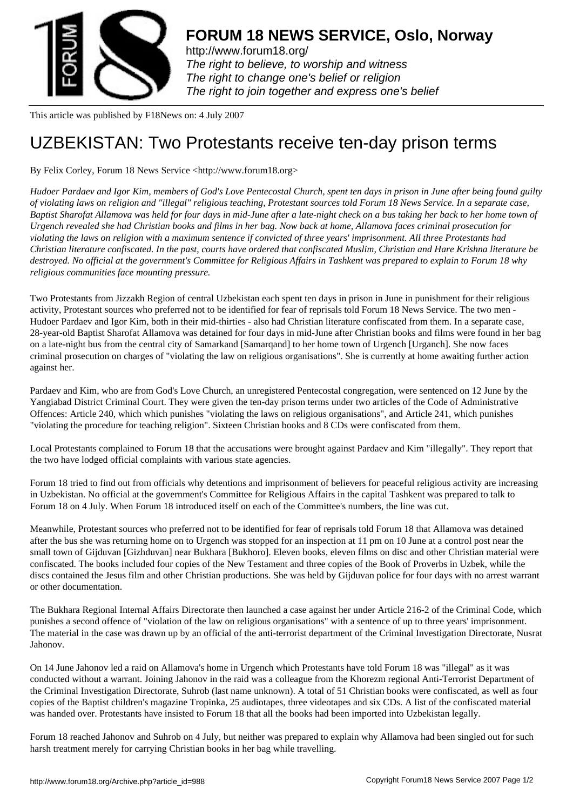

http://www.forum18.org/ The right to believe, to worship and witness The right to change one's belief or religion [The right to join together](http://www.forum18.org/) and express one's belief

This article was published by F18News on: 4 July 2007

## [UZBEKISTAN: Tw](http://www.forum18.org)o Protestants receive ten-day prison terms

By Felix Corley, Forum 18 News Service <http://www.forum18.org>

*Hudoer Pardaev and Igor Kim, members of God's Love Pentecostal Church, spent ten days in prison in June after being found guilty of violating laws on religion and "illegal" religious teaching, Protestant sources told Forum 18 News Service. In a separate case, Baptist Sharofat Allamova was held for four days in mid-June after a late-night check on a bus taking her back to her home town of Urgench revealed she had Christian books and films in her bag. Now back at home, Allamova faces criminal prosecution for violating the laws on religion with a maximum sentence if convicted of three years' imprisonment. All three Protestants had Christian literature confiscated. In the past, courts have ordered that confiscated Muslim, Christian and Hare Krishna literature be destroyed. No official at the government's Committee for Religious Affairs in Tashkent was prepared to explain to Forum 18 why religious communities face mounting pressure.*

Two Protestants from Jizzakh Region of central Uzbekistan each spent ten days in prison in June in punishment for their religious activity, Protestant sources who preferred not to be identified for fear of reprisals told Forum 18 News Service. The two men - Hudoer Pardaev and Igor Kim, both in their mid-thirties - also had Christian literature confiscated from them. In a separate case, 28-year-old Baptist Sharofat Allamova was detained for four days in mid-June after Christian books and films were found in her bag on a late-night bus from the central city of Samarkand [Samarqand] to her home town of Urgench [Urganch]. She now faces criminal prosecution on charges of "violating the law on religious organisations". She is currently at home awaiting further action against her.

Pardaev and Kim, who are from God's Love Church, an unregistered Pentecostal congregation, were sentenced on 12 June by the Yangiabad District Criminal Court. They were given the ten-day prison terms under two articles of the Code of Administrative Offences: Article 240, which which punishes "violating the laws on religious organisations", and Article 241, which punishes "violating the procedure for teaching religion". Sixteen Christian books and 8 CDs were confiscated from them.

Local Protestants complained to Forum 18 that the accusations were brought against Pardaev and Kim "illegally". They report that the two have lodged official complaints with various state agencies.

Forum 18 tried to find out from officials why detentions and imprisonment of believers for peaceful religious activity are increasing in Uzbekistan. No official at the government's Committee for Religious Affairs in the capital Tashkent was prepared to talk to Forum 18 on 4 July. When Forum 18 introduced itself on each of the Committee's numbers, the line was cut.

Meanwhile, Protestant sources who preferred not to be identified for fear of reprisals told Forum 18 that Allamova was detained after the bus she was returning home on to Urgench was stopped for an inspection at 11 pm on 10 June at a control post near the small town of Gijduvan [Gizhduvan] near Bukhara [Bukhoro]. Eleven books, eleven films on disc and other Christian material were confiscated. The books included four copies of the New Testament and three copies of the Book of Proverbs in Uzbek, while the discs contained the Jesus film and other Christian productions. She was held by Gijduvan police for four days with no arrest warrant or other documentation.

The Bukhara Regional Internal Affairs Directorate then launched a case against her under Article 216-2 of the Criminal Code, which punishes a second offence of "violation of the law on religious organisations" with a sentence of up to three years' imprisonment. The material in the case was drawn up by an official of the anti-terrorist department of the Criminal Investigation Directorate, Nusrat Jahonov.

On 14 June Jahonov led a raid on Allamova's home in Urgench which Protestants have told Forum 18 was "illegal" as it was conducted without a warrant. Joining Jahonov in the raid was a colleague from the Khorezm regional Anti-Terrorist Department of the Criminal Investigation Directorate, Suhrob (last name unknown). A total of 51 Christian books were confiscated, as well as four copies of the Baptist children's magazine Tropinka, 25 audiotapes, three videotapes and six CDs. A list of the confiscated material was handed over. Protestants have insisted to Forum 18 that all the books had been imported into Uzbekistan legally.

Forum 18 reached Jahonov and Suhrob on 4 July, but neither was prepared to explain why Allamova had been singled out for such harsh treatment merely for carrying Christian books in her bag while travelling.